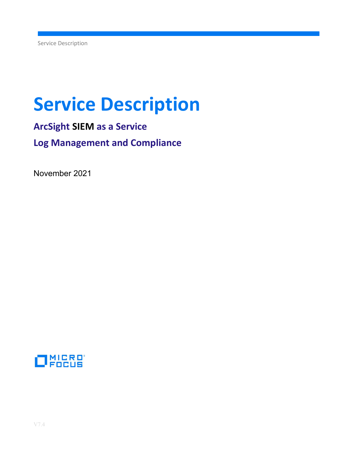# Service Description

ArcSight SIEM as a Service Log Management and Compliance

November 2021

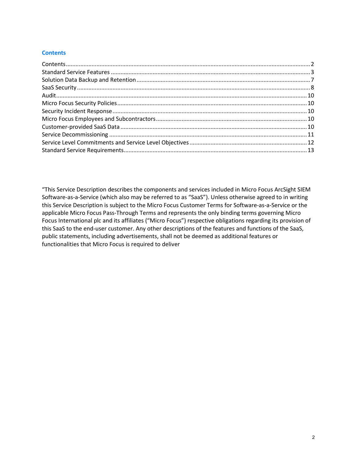# **Contents**

"This Service Description describes the components and services included in Micro Focus ArcSight SIEM Software-as-a-Service (which also may be referred to as "SaaS"). Unless otherwise agreed to in writing this Service Description is subject to the Micro Focus Customer Terms for Software-as-a-Service or the applicable Micro Focus Pass-Through Terms and represents the only binding terms governing Micro Focus International plc and its affiliates ("Micro Focus") respective obligations regarding its provision of this SaaS to the end-user customer. Any other descriptions of the features and functions of the SaaS, public statements, including advertisements, shall not be deemed as additional features or functionalities that Micro Focus is required to deliver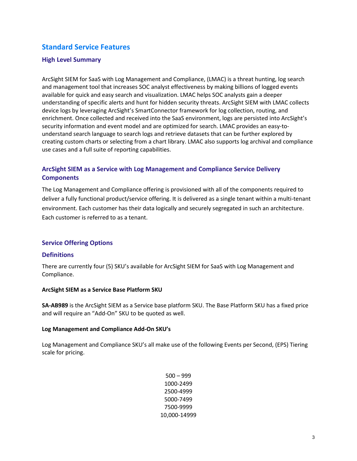# Standard Service Features

#### High Level Summary

ArcSight SIEM for SaaS with Log Management and Compliance, (LMAC) is a threat hunting, log search and management tool that increases SOC analyst effectiveness by making billions of logged events available for quick and easy search and visualization. LMAC helps SOC analysts gain a deeper understanding of specific alerts and hunt for hidden security threats. ArcSight SIEM with LMAC collects device logs by leveraging ArcSight's SmartConnector framework for log collection, routing, and enrichment. Once collected and received into the SaaS environment, logs are persisted into ArcSight's security information and event model and are optimized for search. LMAC provides an easy-tounderstand search language to search logs and retrieve datasets that can be further explored by creating custom charts or selecting from a chart library. LMAC also supports log archival and compliance use cases and a full suite of reporting capabilities.

# ArcSight SIEM as a Service with Log Management and Compliance Service Delivery **Components**

The Log Management and Compliance offering is provisioned with all of the components required to deliver a fully functional product/service offering. It is delivered as a single tenant within a multi-tenant environment. Each customer has their data logically and securely segregated in such an architecture. Each customer is referred to as a tenant.

# Service Offering Options

#### **Definitions**

There are currently four (5) SKU's available for ArcSight SIEM for SaaS with Log Management and Compliance.

#### ArcSight SIEM as a Service Base Platform SKU

SA-AB989 is the ArcSight SIEM as a Service base platform SKU. The Base Platform SKU has a fixed price and will require an "Add-On" SKU to be quoted as well.

#### Log Management and Compliance Add-On SKU's

Log Management and Compliance SKU's all make use of the following Events per Second, (EPS) Tiering scale for pricing.

> 500 – 999 1000-2499 2500-4999 5000-7499 7500-9999 10,000-14999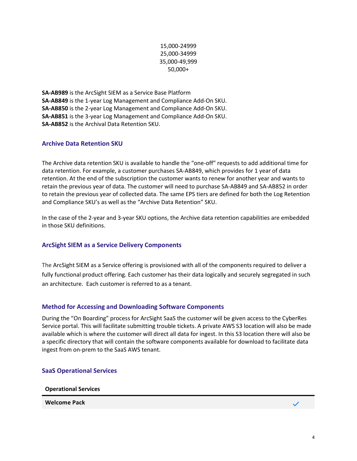# 15,000-24999 25,000-34999 35,000-49,999 50,000+

SA-AB989 is the ArcSight SIEM as a Service Base Platform SA-AB849 is the 1-year Log Management and Compliance Add-On SKU. SA-AB850 is the 2-year Log Management and Compliance Add-On SKU. SA-AB851 is the 3-year Log Management and Compliance Add-On SKU. SA-AB852 is the Archival Data Retention SKU.

# Archive Data Retention SKU

The Archive data retention SKU is available to handle the "one-off" requests to add additional time for data retention. For example, a customer purchases SA-AB849, which provides for 1 year of data retention. At the end of the subscription the customer wants to renew for another year and wants to retain the previous year of data. The customer will need to purchase SA-AB849 and SA-AB852 in order to retain the previous year of collected data. The same EPS tiers are defined for both the Log Retention and Compliance SKU's as well as the "Archive Data Retention" SKU.

In the case of the 2-year and 3-year SKU options, the Archive data retention capabilities are embedded in those SKU definitions.

# ArcSight SIEM as a Service Delivery Components

The ArcSight SIEM as a Service offering is provisioned with all of the components required to deliver a fully functional product offering. Each customer has their data logically and securely segregated in such an architecture. Each customer is referred to as a tenant.

# Method for Accessing and Downloading Software Components

During the "On Boarding" process for ArcSight SaaS the customer will be given access to the CyberRes Service portal. This will facilitate submitting trouble tickets. A private AWS S3 location will also be made available which is where the customer will direct all data for ingest. In this S3 location there will also be a specific directory that will contain the software components available for download to facilitate data ingest from on-prem to the SaaS AWS tenant.

#### SaaS Operational Services

Operational Services

Welcome Pack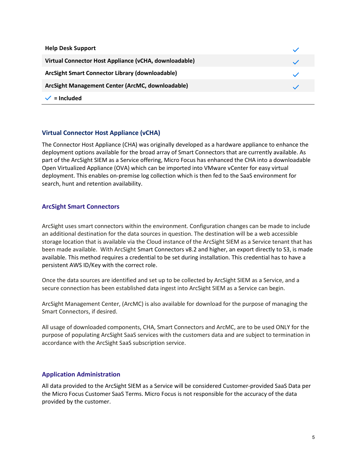| <b>Help Desk Support</b>                              |  |
|-------------------------------------------------------|--|
| Virtual Connector Host Appliance (vCHA, downloadable) |  |
| ArcSight Smart Connector Library (downloadable)       |  |
| ArcSight Management Center (ArcMC, downloadable)      |  |
| = Included                                            |  |

# Virtual Connector Host Appliance (vCHA)

The Connector Host Appliance (CHA) was originally developed as a hardware appliance to enhance the deployment options available for the broad array of Smart Connectors that are currently available. As part of the ArcSight SIEM as a Service offering, Micro Focus has enhanced the CHA into a downloadable Open Virtualized Appliance (OVA) which can be imported into VMware vCenter for easy virtual deployment. This enables on-premise log collection which is then fed to the SaaS environment for search, hunt and retention availability.

# ArcSight Smart Connectors

ArcSight uses smart connectors within the environment. Configuration changes can be made to include an additional destination for the data sources in question. The destination will be a web accessible storage location that is available via the Cloud instance of the ArcSight SIEM as a Service tenant that has been made available. With ArcSight Smart Connectors v8.2 and higher, an export directly to S3, is made available. This method requires a credential to be set during installation. This credential has to have a persistent AWS ID/Key with the correct role.

Once the data sources are identified and set up to be collected by ArcSight SIEM as a Service, and a secure connection has been established data ingest into ArcSight SIEM as a Service can begin.

ArcSight Management Center, (ArcMC) is also available for download for the purpose of managing the Smart Connectors, if desired.

All usage of downloaded components, CHA, Smart Connectors and ArcMC, are to be used ONLY for the purpose of populating ArcSight SaaS services with the customers data and are subject to termination in accordance with the ArcSight SaaS subscription service.

#### Application Administration

All data provided to the ArcSight SIEM as a Service will be considered Customer-provided SaaS Data per the Micro Focus Customer SaaS Terms. Micro Focus is not responsible for the accuracy of the data provided by the customer.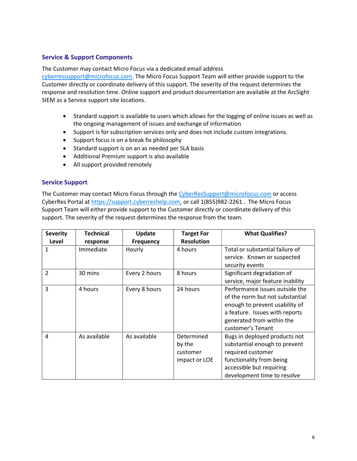#### Service & Support Components

The Customer may contact Micro Focus via a dedicated email address

cyberressupport@microfocus.com. The Micro Focus Support Team will either provide support to the Customer directly or coordinate delivery of this support. The severity of the request determines the response and resolution time. Online support and product documentation are available at the ArcSight SIEM as a Service support site locations.

- Standard support is available to users which allows for the logging of online issues as well as the ongoing management of issues and exchange of information
- Support is for subscription services only and does not include custom integrations.
- Support focus is on a break fix philosophy
- Standard support is on an as needed per SLA basis
- Additional Premium support is also available
- All support provided remotely

#### Service Support

The Customer may contact Micro Focus through the CyberResSupport@microfocus.com or access CyberRes Portal at https://support.cyberreshelp.com, or call 1(855)982-2261 . The Micro Focus Support Team will either provide support to the Customer directly or coordinate delivery of this support. The severity of the request determines the response from the team.

| <b>Severity</b>          | <b>Technical</b> | <b>Update</b>    | <b>Target For</b> | <b>What Qualifies?</b>           |
|--------------------------|------------------|------------------|-------------------|----------------------------------|
| Level                    | response         | <b>Frequency</b> | <b>Resolution</b> |                                  |
| 1                        | Immediate        | Hourly           | 4 hours           | Total or substantial failure of  |
|                          |                  |                  |                   | service. Known or suspected      |
|                          |                  |                  |                   | security events                  |
| $\overline{\phantom{a}}$ | 30 mins          | Every 2 hours    | 8 hours           | Significant degradation of       |
|                          |                  |                  |                   | service, major feature inability |
| 3                        | 4 hours          | Every 8 hours    | 24 hours          | Performance issues outside the   |
|                          |                  |                  |                   | of the norm but not substantial  |
|                          |                  |                  |                   | enough to prevent usability of   |
|                          |                  |                  |                   | a feature. Issues with reports   |
|                          |                  |                  |                   | generated from within the        |
|                          |                  |                  |                   | customer's Tenant                |
| 4                        | As available     | As available     | Determined        | Bugs in deployed products not    |
|                          |                  |                  | by the            | substantial enough to prevent    |
|                          |                  |                  | customer          | required customer                |
|                          |                  |                  | impact or LOE     | functionality from being         |
|                          |                  |                  |                   | accessible but requiring         |
|                          |                  |                  |                   | development time to resolve      |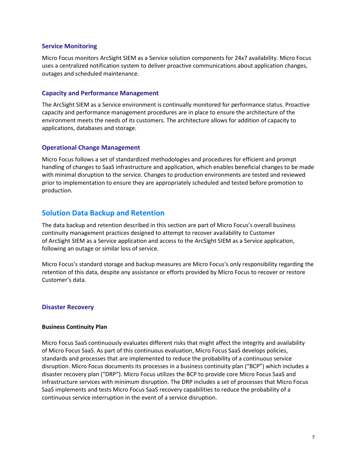#### Service Monitoring

Micro Focus monitors ArcSight SIEM as a Service solution components for 24x7 availability. Micro Focus uses a centralized notification system to deliver proactive communications about application changes, outages and scheduled maintenance.

# Capacity and Performance Management

The ArcSight SIEM as a Service environment is continually monitored for performance status. Proactive capacity and performance management procedures are in place to ensure the architecture of the environment meets the needs of its customers. The architecture allows for addition of capacity to applications, databases and storage.

#### Operational Change Management

Micro Focus follows a set of standardized methodologies and procedures for efficient and prompt handling of changes to SaaS infrastructure and application, which enables beneficial changes to be made with minimal disruption to the service. Changes to production environments are tested and reviewed prior to implementation to ensure they are appropriately scheduled and tested before promotion to production.

# Solution Data Backup and Retention

The data backup and retention described in this section are part of Micro Focus's overall business continuity management practices designed to attempt to recover availability to Customer of ArcSight SIEM as a Service application and access to the ArcSight SIEM as a Service application, following an outage or similar loss of service.

Micro Focus's standard storage and backup measures are Micro Focus's only responsibility regarding the retention of this data, despite any assistance or efforts provided by Micro Focus to recover or restore Customer's data.

#### Disaster Recovery

#### Business Continuity Plan

Micro Focus SaaS continuously evaluates different risks that might affect the integrity and availability of Micro Focus SaaS. As part of this continuous evaluation, Micro Focus SaaS develops policies, standards and processes that are implemented to reduce the probability of a continuous service disruption. Micro Focus documents its processes in a business continuity plan ("BCP") which includes a disaster recovery plan ("DRP"). Micro Focus utilizes the BCP to provide core Micro Focus SaaS and infrastructure services with minimum disruption. The DRP includes a set of processes that Micro Focus SaaS implements and tests Micro Focus SaaS recovery capabilities to reduce the probability of a continuous service interruption in the event of a service disruption.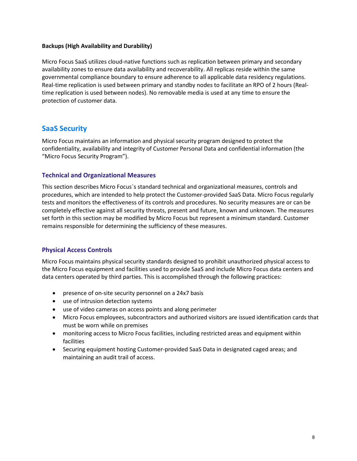#### Backups (High Availability and Durability)

Micro Focus SaaS utilizes cloud-native functions such as replication between primary and secondary availability zones to ensure data availability and recoverability. All replicas reside within the same governmental compliance boundary to ensure adherence to all applicable data residency regulations. Real-time replication is used between primary and standby nodes to facilitate an RPO of 2 hours (Realtime replication is used between nodes). No removable media is used at any time to ensure the protection of customer data.

# SaaS Security

Micro Focus maintains an information and physical security program designed to protect the confidentiality, availability and integrity of Customer Personal Data and confidential information (the "Micro Focus Security Program").

#### Technical and Organizational Measures

This section describes Micro Focus´s standard technical and organizational measures, controls and procedures, which are intended to help protect the Customer-provided SaaS Data. Micro Focus regularly tests and monitors the effectiveness of its controls and procedures. No security measures are or can be completely effective against all security threats, present and future, known and unknown. The measures set forth in this section may be modified by Micro Focus but represent a minimum standard. Customer remains responsible for determining the sufficiency of these measures.

# Physical Access Controls

Micro Focus maintains physical security standards designed to prohibit unauthorized physical access to the Micro Focus equipment and facilities used to provide SaaS and include Micro Focus data centers and data centers operated by third parties. This is accomplished through the following practices:

- presence of on-site security personnel on a 24x7 basis
- use of intrusion detection systems
- use of video cameras on access points and along perimeter
- Micro Focus employees, subcontractors and authorized visitors are issued identification cards that must be worn while on premises
- monitoring access to Micro Focus facilities, including restricted areas and equipment within facilities
- Securing equipment hosting Customer-provided SaaS Data in designated caged areas; and maintaining an audit trail of access.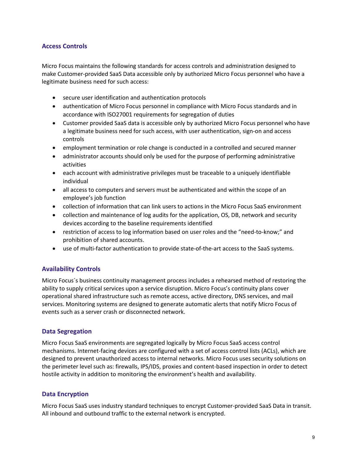# Access Controls

Micro Focus maintains the following standards for access controls and administration designed to make Customer-provided SaaS Data accessible only by authorized Micro Focus personnel who have a legitimate business need for such access:

- secure user identification and authentication protocols
- authentication of Micro Focus personnel in compliance with Micro Focus standards and in accordance with ISO27001 requirements for segregation of duties
- Customer provided SaaS data is accessible only by authorized Micro Focus personnel who have a legitimate business need for such access, with user authentication, sign-on and access controls
- employment termination or role change is conducted in a controlled and secured manner
- administrator accounts should only be used for the purpose of performing administrative activities
- each account with administrative privileges must be traceable to a uniquely identifiable individual
- all access to computers and servers must be authenticated and within the scope of an employee's job function
- collection of information that can link users to actions in the Micro Focus SaaS environment
- collection and maintenance of log audits for the application, OS, DB, network and security devices according to the baseline requirements identified
- restriction of access to log information based on user roles and the "need-to-know;" and prohibition of shared accounts.
- use of multi-factor authentication to provide state-of-the-art access to the SaaS systems.

#### Availability Controls

Micro Focus´s business continuity management process includes a rehearsed method of restoring the ability to supply critical services upon a service disruption. Micro Focus's continuity plans cover operational shared infrastructure such as remote access, active directory, DNS services, and mail services. Monitoring systems are designed to generate automatic alerts that notify Micro Focus of events such as a server crash or disconnected network.

#### Data Segregation

Micro Focus SaaS environments are segregated logically by Micro Focus SaaS access control mechanisms. Internet-facing devices are configured with a set of access control lists (ACLs), which are designed to prevent unauthorized access to internal networks. Micro Focus uses security solutions on the perimeter level such as: firewalls, IPS/IDS, proxies and content-based inspection in order to detect hostile activity in addition to monitoring the environment's health and availability.

#### Data Encryption

Micro Focus SaaS uses industry standard techniques to encrypt Customer-provided SaaS Data in transit. All inbound and outbound traffic to the external network is encrypted.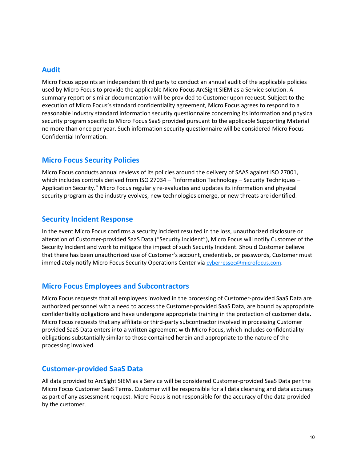# Audit

Micro Focus appoints an independent third party to conduct an annual audit of the applicable policies used by Micro Focus to provide the applicable Micro Focus ArcSight SIEM as a Service solution. A summary report or similar documentation will be provided to Customer upon request. Subject to the execution of Micro Focus's standard confidentiality agreement, Micro Focus agrees to respond to a reasonable industry standard information security questionnaire concerning its information and physical security program specific to Micro Focus SaaS provided pursuant to the applicable Supporting Material no more than once per year. Such information security questionnaire will be considered Micro Focus Confidential Information.

# Micro Focus Security Policies

Micro Focus conducts annual reviews of its policies around the delivery of SAAS against ISO 27001, which includes controls derived from ISO 27034 – "Information Technology – Security Techniques – Application Security." Micro Focus regularly re-evaluates and updates its information and physical security program as the industry evolves, new technologies emerge, or new threats are identified.

# Security Incident Response

In the event Micro Focus confirms a security incident resulted in the loss, unauthorized disclosure or alteration of Customer-provided SaaS Data ("Security Incident"), Micro Focus will notify Customer of the Security Incident and work to mitigate the impact of such Security Incident. Should Customer believe that there has been unauthorized use of Customer's account, credentials, or passwords, Customer must immediately notify Micro Focus Security Operations Center via cyberressec@microfocus.com.

# Micro Focus Employees and Subcontractors

Micro Focus requests that all employees involved in the processing of Customer-provided SaaS Data are authorized personnel with a need to access the Customer-provided SaaS Data, are bound by appropriate confidentiality obligations and have undergone appropriate training in the protection of customer data. Micro Focus requests that any affiliate or third-party subcontractor involved in processing Customer provided SaaS Data enters into a written agreement with Micro Focus, which includes confidentiality obligations substantially similar to those contained herein and appropriate to the nature of the processing involved.

# Customer-provided SaaS Data

All data provided to ArcSight SIEM as a Service will be considered Customer-provided SaaS Data per the Micro Focus Customer SaaS Terms. Customer will be responsible for all data cleansing and data accuracy as part of any assessment request. Micro Focus is not responsible for the accuracy of the data provided by the customer.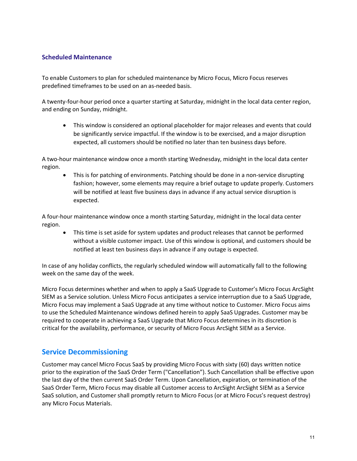# Scheduled Maintenance

To enable Customers to plan for scheduled maintenance by Micro Focus, Micro Focus reserves predefined timeframes to be used on an as-needed basis.

A twenty-four-hour period once a quarter starting at Saturday, midnight in the local data center region, and ending on Sunday, midnight.

 This window is considered an optional placeholder for major releases and events that could be significantly service impactful. If the window is to be exercised, and a major disruption expected, all customers should be notified no later than ten business days before.

A two-hour maintenance window once a month starting Wednesday, midnight in the local data center region.

• This is for patching of environments. Patching should be done in a non-service disrupting fashion; however, some elements may require a brief outage to update properly. Customers will be notified at least five business days in advance if any actual service disruption is expected.

A four-hour maintenance window once a month starting Saturday, midnight in the local data center region.

 This time is set aside for system updates and product releases that cannot be performed without a visible customer impact. Use of this window is optional, and customers should be notified at least ten business days in advance if any outage is expected.

In case of any holiday conflicts, the regularly scheduled window will automatically fall to the following week on the same day of the week.

Micro Focus determines whether and when to apply a SaaS Upgrade to Customer's Micro Focus ArcSight SIEM as a Service solution. Unless Micro Focus anticipates a service interruption due to a SaaS Upgrade, Micro Focus may implement a SaaS Upgrade at any time without notice to Customer. Micro Focus aims to use the Scheduled Maintenance windows defined herein to apply SaaS Upgrades. Customer may be required to cooperate in achieving a SaaS Upgrade that Micro Focus determines in its discretion is critical for the availability, performance, or security of Micro Focus ArcSight SIEM as a Service.

# Service Decommissioning

Customer may cancel Micro Focus SaaS by providing Micro Focus with sixty (60) days written notice prior to the expiration of the SaaS Order Term ("Cancellation"). Such Cancellation shall be effective upon the last day of the then current SaaS Order Term. Upon Cancellation, expiration, or termination of the SaaS Order Term, Micro Focus may disable all Customer access to ArcSight ArcSight SIEM as a Service SaaS solution, and Customer shall promptly return to Micro Focus (or at Micro Focus's request destroy) any Micro Focus Materials.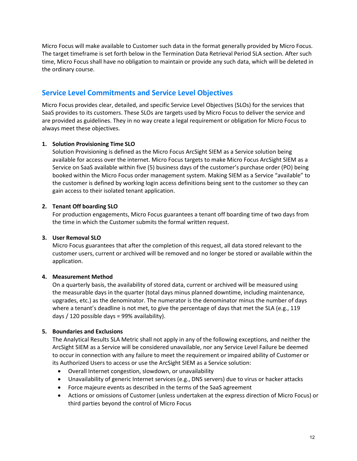Micro Focus will make available to Customer such data in the format generally provided by Micro Focus. The target timeframe is set forth below in the Termination Data Retrieval Period SLA section. After such time, Micro Focus shall have no obligation to maintain or provide any such data, which will be deleted in the ordinary course.

# Service Level Commitments and Service Level Objectives

Micro Focus provides clear, detailed, and specific Service Level Objectives (SLOs) for the services that SaaS provides to its customers. These SLOs are targets used by Micro Focus to deliver the service and are provided as guidelines. They in no way create a legal requirement or obligation for Micro Focus to always meet these objectives.

# 1. Solution Provisioning Time SLO

Solution Provisioning is defined as the Micro Focus ArcSight SIEM as a Service solution being available for access over the internet. Micro Focus targets to make Micro Focus ArcSight SIEM as a Service on SaaS available within five (5) business days of the customer's purchase order (PO) being booked within the Micro Focus order management system. Making SIEM as a Service "available" to the customer is defined by working login access definitions being sent to the customer so they can gain access to their isolated tenant application.

#### 2. Tenant Off boarding SLO

For production engagements, Micro Focus guarantees a tenant off boarding time of two days from the time in which the Customer submits the formal written request.

# 3. User Removal SLO

Micro Focus guarantees that after the completion of this request, all data stored relevant to the customer users, current or archived will be removed and no longer be stored or available within the application.

#### 4. Measurement Method

On a quarterly basis, the availability of stored data, current or archived will be measured using the measurable days in the quarter (total days minus planned downtime, including maintenance, upgrades, etc.) as the denominator. The numerator is the denominator minus the number of days where a tenant's deadline is not met, to give the percentage of days that met the SLA (e.g., 119 days / 120 possible days = 99% availability).

#### 5. Boundaries and Exclusions

The Analytical Results SLA Metric shall not apply in any of the following exceptions, and neither the ArcSight SIEM as a Service will be considered unavailable, nor any Service Level Failure be deemed to occur in connection with any failure to meet the requirement or impaired ability of Customer or its Authorized Users to access or use the ArcSight SIEM as a Service solution:

- Overall Internet congestion, slowdown, or unavailability
- Unavailability of generic Internet services (e.g., DNS servers) due to virus or hacker attacks
- Force majeure events as described in the terms of the SaaS agreement
- Actions or omissions of Customer (unless undertaken at the express direction of Micro Focus) or third parties beyond the control of Micro Focus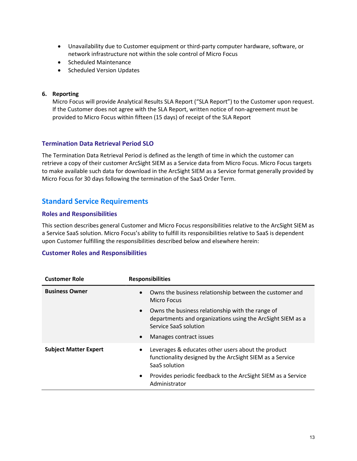- Unavailability due to Customer equipment or third-party computer hardware, software, or network infrastructure not within the sole control of Micro Focus
- Scheduled Maintenance
- Scheduled Version Updates

#### 6. Reporting

Micro Focus will provide Analytical Results SLA Report ("SLA Report") to the Customer upon request. If the Customer does not agree with the SLA Report, written notice of non-agreement must be provided to Micro Focus within fifteen (15 days) of receipt of the SLA Report

# Termination Data Retrieval Period SLO

The Termination Data Retrieval Period is defined as the length of time in which the customer can retrieve a copy of their customer ArcSight SIEM as a Service data from Micro Focus. Micro Focus targets to make available such data for download in the ArcSight SIEM as a Service format generally provided by Micro Focus for 30 days following the termination of the SaaS Order Term.

# Standard Service Requirements

#### Roles and Responsibilities

This section describes general Customer and Micro Focus responsibilities relative to the ArcSight SIEM as a Service SaaS solution. Micro Focus's ability to fulfill its responsibilities relative to SaaS is dependent upon Customer fulfilling the responsibilities described below and elsewhere herein:

#### Customer Roles and Responsibilities

| <b>Customer Role</b>         | <b>Responsibilities</b>                                                                                                                              |
|------------------------------|------------------------------------------------------------------------------------------------------------------------------------------------------|
| <b>Business Owner</b>        | Owns the business relationship between the customer and<br>Micro Focus                                                                               |
|                              | Owns the business relationship with the range of<br>$\bullet$<br>departments and organizations using the ArcSight SIEM as a<br>Service SaaS solution |
|                              | Manages contract issues<br>$\bullet$                                                                                                                 |
| <b>Subject Matter Expert</b> | Leverages & educates other users about the product<br>$\bullet$<br>functionality designed by the ArcSight SIEM as a Service<br>SaaS solution         |
|                              | Provides periodic feedback to the ArcSight SIEM as a Service<br>$\bullet$<br>Administrator                                                           |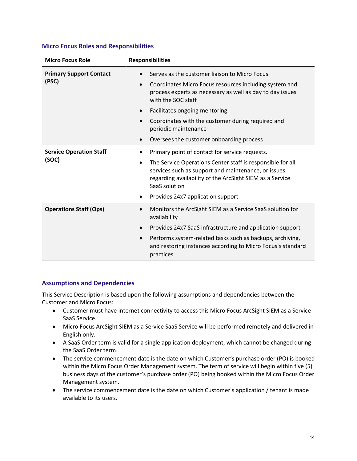|  |  |  |  | <b>Micro Focus Roles and Responsibilities</b> |
|--|--|--|--|-----------------------------------------------|
|--|--|--|--|-----------------------------------------------|

| <b>Micro Focus Role</b>        | <b>Responsibilities</b>                                                                                                                                                                                     |
|--------------------------------|-------------------------------------------------------------------------------------------------------------------------------------------------------------------------------------------------------------|
| <b>Primary Support Contact</b> | Serves as the customer liaison to Micro Focus                                                                                                                                                               |
| (PSC)                          | Coordinates Micro Focus resources including system and<br>$\bullet$<br>process experts as necessary as well as day to day issues<br>with the SOC staff                                                      |
|                                | Facilitates ongoing mentoring<br>$\bullet$                                                                                                                                                                  |
|                                | Coordinates with the customer during required and<br>$\bullet$<br>periodic maintenance                                                                                                                      |
|                                | Oversees the customer onboarding process                                                                                                                                                                    |
| <b>Service Operation Staff</b> | Primary point of contact for service requests.<br>$\bullet$                                                                                                                                                 |
| (SOC)                          | The Service Operations Center staff is responsible for all<br>$\bullet$<br>services such as support and maintenance, or issues<br>regarding availability of the ArcSight SIEM as a Service<br>SaaS solution |
|                                | Provides 24x7 application support                                                                                                                                                                           |
| <b>Operations Staff (Ops)</b>  | Monitors the ArcSight SIEM as a Service SaaS solution for<br>availability                                                                                                                                   |
|                                | Provides 24x7 SaaS infrastructure and application support<br>$\bullet$                                                                                                                                      |
|                                | Performs system-related tasks such as backups, archiving,<br>$\bullet$<br>and restoring instances according to Micro Focus's standard<br>practices                                                          |

# Assumptions and Dependencies

This Service Description is based upon the following assumptions and dependencies between the Customer and Micro Focus:

- Customer must have internet connectivity to access this Micro Focus ArcSight SIEM as a Service SaaS Service.
- Micro Focus ArcSight SIEM as a Service SaaS Service will be performed remotely and delivered in English only.
- A SaaS Order term is valid for a single application deployment, which cannot be changed during the SaaS Order term.
- The service commencement date is the date on which Customer's purchase order (PO) is booked within the Micro Focus Order Management system. The term of service will begin within five (5) business days of the customer's purchase order (PO) being booked within the Micro Focus Order Management system.
- The service commencement date is the date on which Customer's application / tenant is made available to its users.